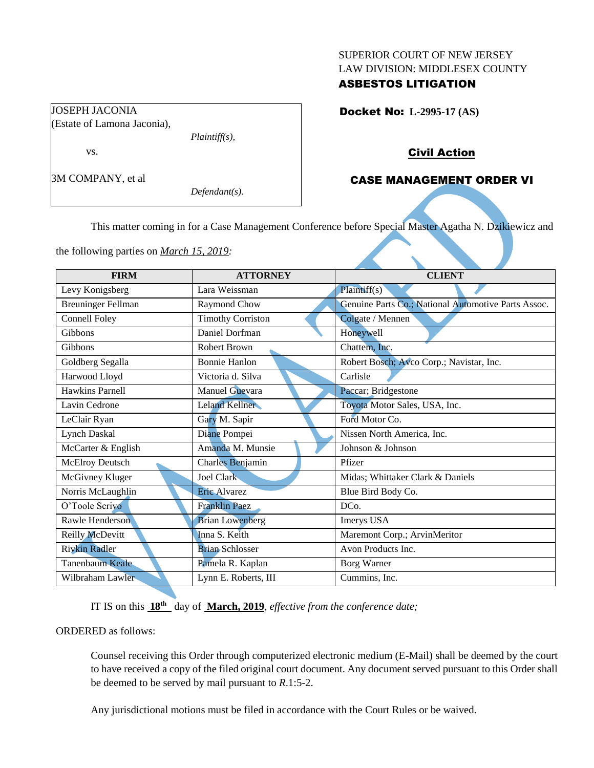#### SUPERIOR COURT OF NEW JERSEY LAW DIVISION: MIDDLESEX COUNTY

## ASBESTOS LITIGATION

Docket No: **L-2995-17 (AS)** 

## Civil Action

# CASE MANAGEMENT ORDER VI

*Defendant(s).*

*Plaintiff(s),*

This matter coming in for a Case Management Conference before Special Master Agatha N. Dzikiewicz and

the following parties on *March 15, 2019:*

JOSEPH JACONIA

vs.

3M COMPANY, et al

(Estate of Lamona Jaconia),

| <b>FIRM</b>               | <b>ATTORNEY</b>          | <b>CLIENT</b>                                       |
|---------------------------|--------------------------|-----------------------------------------------------|
| Levy Konigsberg           | Lara Weissman            | Plaintiff(s)                                        |
| <b>Breuninger Fellman</b> | Raymond Chow             | Genuine Parts Co.; National Automotive Parts Assoc. |
| <b>Connell Foley</b>      | <b>Timothy Corriston</b> | Colgate / Mennen                                    |
| Gibbons                   | Daniel Dorfman           | Honeywell                                           |
| Gibbons                   | <b>Robert Brown</b>      | Chattem, Inc.                                       |
| Goldberg Segalla          | <b>Bonnie Hanlon</b>     | Robert Bosch; Avco Corp.; Navistar, Inc.            |
| Harwood Lloyd             | Victoria d. Silva        | Carlisle                                            |
| <b>Hawkins Parnell</b>    | Manuel Guevara           | Paccar; Bridgestone                                 |
| Lavin Cedrone             | Leland Kellner           | Toyota Motor Sales, USA, Inc.                       |
| LeClair Ryan              | Gary M. Sapir            | Ford Motor Co.                                      |
| <b>Lynch Daskal</b>       | Diane Pompei             | Nissen North America, Inc.                          |
| McCarter & English        | Amanda M. Munsie         | Johnson & Johnson                                   |
| <b>McElroy Deutsch</b>    | Charles Benjamin         | Pfizer                                              |
| McGivney Kluger           | Joel Clark               | Midas; Whittaker Clark & Daniels                    |
| Norris McLaughlin         | Eric Alvarez             | Blue Bird Body Co.                                  |
| O'Toole Scrivo            | <b>Franklin Paez</b>     | DC <sub>0</sub> .                                   |
| Rawle Henderson           | <b>Brian Lowenberg</b>   | Imerys USA                                          |
| Reilly McDevitt           | Inna S. Keith            | Maremont Corp.; ArvinMeritor                        |
| <b>Rivkin Radler</b>      | <b>Brian Schlosser</b>   | Avon Products Inc.                                  |
| Tanenbaum Keale           | Pamela R. Kaplan         | <b>Borg Warner</b>                                  |
| Wilbraham Lawler          | Lynn E. Roberts, III     | Cummins, Inc.                                       |

IT IS on this  $18^{th}$  day of March, 2019, *effective from the conference date*;

#### ORDERED as follows:

Counsel receiving this Order through computerized electronic medium (E-Mail) shall be deemed by the court to have received a copy of the filed original court document. Any document served pursuant to this Order shall be deemed to be served by mail pursuant to *R*.1:5-2.

Any jurisdictional motions must be filed in accordance with the Court Rules or be waived.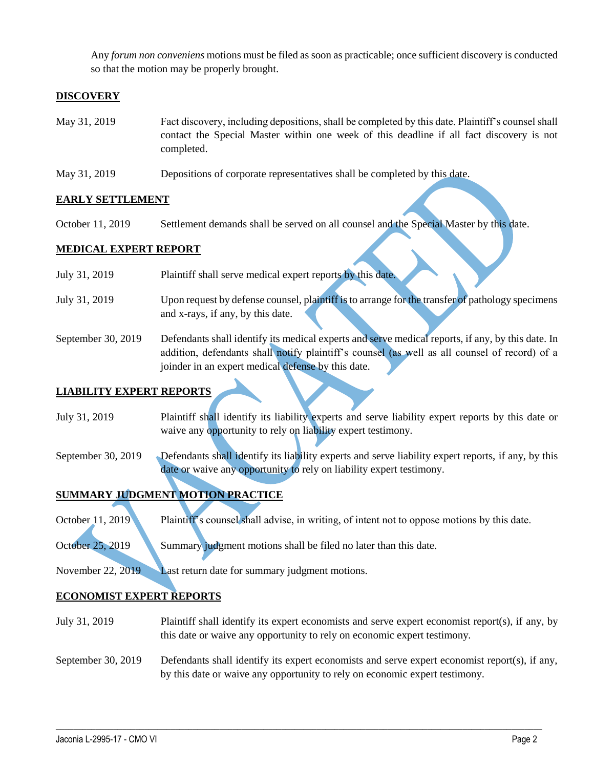Any *forum non conveniens* motions must be filed as soon as practicable; once sufficient discovery is conducted so that the motion may be properly brought.

## **DISCOVERY**

- May 31, 2019 Fact discovery, including depositions, shall be completed by this date. Plaintiff's counsel shall contact the Special Master within one week of this deadline if all fact discovery is not completed.
- May 31, 2019 Depositions of corporate representatives shall be completed by this date.

### **EARLY SETTLEMENT**

October 11, 2019 Settlement demands shall be served on all counsel and the Special Master by this date.

### **MEDICAL EXPERT REPORT**

- July 31, 2019 Plaintiff shall serve medical expert reports by this date.
- July 31, 2019 Upon request by defense counsel, plaintiff is to arrange for the transfer of pathology specimens and x-rays, if any, by this date.
- September 30, 2019 Defendants shall identify its medical experts and serve medical reports, if any, by this date. In addition, defendants shall notify plaintiff's counsel (as well as all counsel of record) of a joinder in an expert medical defense by this date.

### **LIABILITY EXPERT REPORTS**

- July 31, 2019 Plaintiff shall identify its liability experts and serve liability expert reports by this date or waive any opportunity to rely on liability expert testimony.
- September 30, 2019 Defendants shall identify its liability experts and serve liability expert reports, if any, by this date or waive any opportunity to rely on liability expert testimony.

# **SUMMARY JUDGMENT MOTION PRACTICE**

October 11, 2019 Plaintiff's counsel shall advise, in writing, of intent not to oppose motions by this date.

October 25, 2019 Summary judgment motions shall be filed no later than this date.

November 22, 2019 Last return date for summary judgment motions.

### **ECONOMIST EXPERT REPORTS**

- July 31, 2019 Plaintiff shall identify its expert economists and serve expert economist report(s), if any, by this date or waive any opportunity to rely on economic expert testimony.
- September 30, 2019 Defendants shall identify its expert economists and serve expert economist report(s), if any, by this date or waive any opportunity to rely on economic expert testimony.

 $\_$  , and the set of the set of the set of the set of the set of the set of the set of the set of the set of the set of the set of the set of the set of the set of the set of the set of the set of the set of the set of th